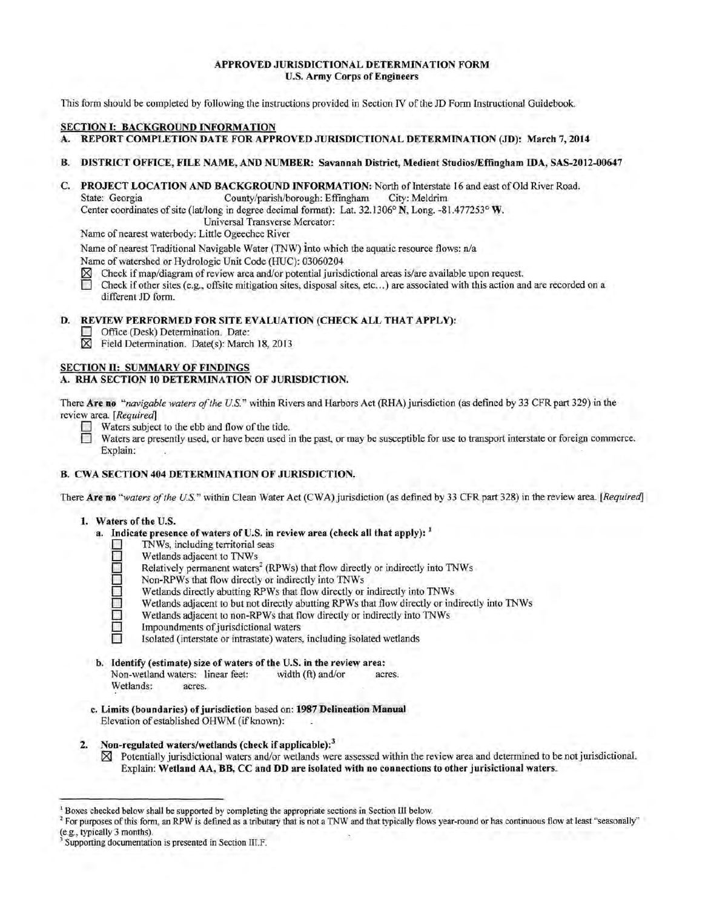# APPROVED JURISDICTIONAL DETERMINATION FORM U.S. Army Corps of Engineers

This form should be completed by following the instructions provided in Section IV of the JD Form Instructional Guidebook.

#### SECTION 1: BACKGROUND INFORMATION

- A. REPORT COMPLETION DATE FOR APPROVED JURISDICTIONAL DETERMINATION (JD): March 7, 2014
- B. DISTRICT OFFICE, FILE NAME, AND NUMBER: Savannah District, Medient Studios/Effingham IDA, SAS-2012-00647
- C. PROJECT LOCATION AND BACKGROUND INFORMATION: North of Interstate 16 and east of Old River Road. State: Georgia County/parish/borough: Effingham City: Meldrim

Center coordinates of site (lat/long in degree decimal format): Lat. 32.1306° N, Long. -81.477253° W.

Universal Transverse Mercator:

Name of nearest waterbody: Little Ogeechee River

Name of nearest Traditional Navigable Water (TNW) into which the aquatic resource flows: n/a

Name of watershed or Hydrologic Unit Code (HUC): 03060204

- $\boxtimes$  Check if map/diagram of review area and/or potential jurisdictional areas is/are available upon request.<br>
Check if other sites (e.g., offsite mitigation sites, disposal sites, etc.,.) are associated with this action
- Check if other sites (e.g., offsite mitigation sites, disposal sites, etc...) are associated with this action and are recorded on a different JD form.

# D. REVIEW PERFORMED FOR SITE EVALUATION (CHECK ALL THAT APPLY):

- Office (Desk) Determination. Date:<br>  $\boxtimes$  Field Determination. Date(s): Marcl
- Field Determination. Date(s): March 18, 2013

# SECTION II: SUMMARY OF FINDINGS

# A. RHA SECTION 10 DETERMINATION OF JURISDICTION.

There Are no "navigable waters of the U.S." within Rivers and Harbors Act (RHA) jurisdiction (as defined by 33 CFR part 329) in the review area. *[Required]*

- Waters subject to the ebb and flow of the tide.<br>
Waters are presently used, or have been used in
	- Waters are presently used, or have been used in the past, or may be susceptible for use to transport interstate or foreign commerce. Explain:

# B. CWA SECTION 404 DETERMINATION OF JURISDICTION.

There Are no *"waters ofthe U.S."* within Clean Water Act (CWA) jurisdiction (as defined by 33 CFR part 328) in the review area. *[Required]* 

- 1. Waters of the U.S.
	- a. Indicate presence of waters of U.S. in review area (check all that apply):  $<sup>1</sup>$ </sup>
		- $\Box$  TNWs, including territorial seas<br>
		Wetlands adjacent to TNWs
		- □ Wetlands adjacent to TNWs<br>□ Relatively permanent waters
		- Relatively permanent waters<sup>2</sup> (RPWs) that flow directly or indirectly into TNWs
		- Non-RPWs that flow directly or indirectly into TNWs<br>Wetlands directly abutting RPWs that flow directly or
		- 0 Wetlands directly abutting RPWs that flow directly or indirectly into TNWs
		- Wetlands adjacent to but not directly abutting RPWs that flow directly or indirectly into TNWs<br>
		Wetlands adjacent to non-RPWs that flow directly or indirectly into TNWs
		- Wetlands adjacent to non-RPWs that flow directly or indirectly into TNWs<br>
		Impoundments of jurisdictional waters
			- Impoundments of jurisdictional waters
			- Isolated (interstate or intrastate) waters, including isolated wetlands
	- b. Identify (estimate) size of waters of the U.S. in the review area:<br>Non-wetland waters: linear feet: width (ft) and/or act Non-wetland waters: linear feet: width (ft) and/or acres. Wetlands: acres.
	- c. Limits (boundaries) of jurisdiction based on: 1987 Delineation Manual Elevation of established OHWM (if known):
- 2. Non-regulated waters/wetlands (check if applicable):<sup>3</sup>
	- $\boxtimes$  Potentially jurisdictional waters and/or wetlands were assessed within the review area and determined to be not jurisdictional. Explain: Wetland AA,BB, CC and DD are isolated with no connections to other jurisictional waters.

<sup>&</sup>lt;sup>1</sup> Boxes checked below shall be supported by completing the appropriate sections in Section III below.

<sup>&</sup>lt;sup>2</sup> For purposes of this form, an RPW is defined as a tributary that is not a TNW and that typically flows year-round or has continuous flow at least "seasonally" (e.g., typically 3 months).

Supporting documentation is presented in Section III.F.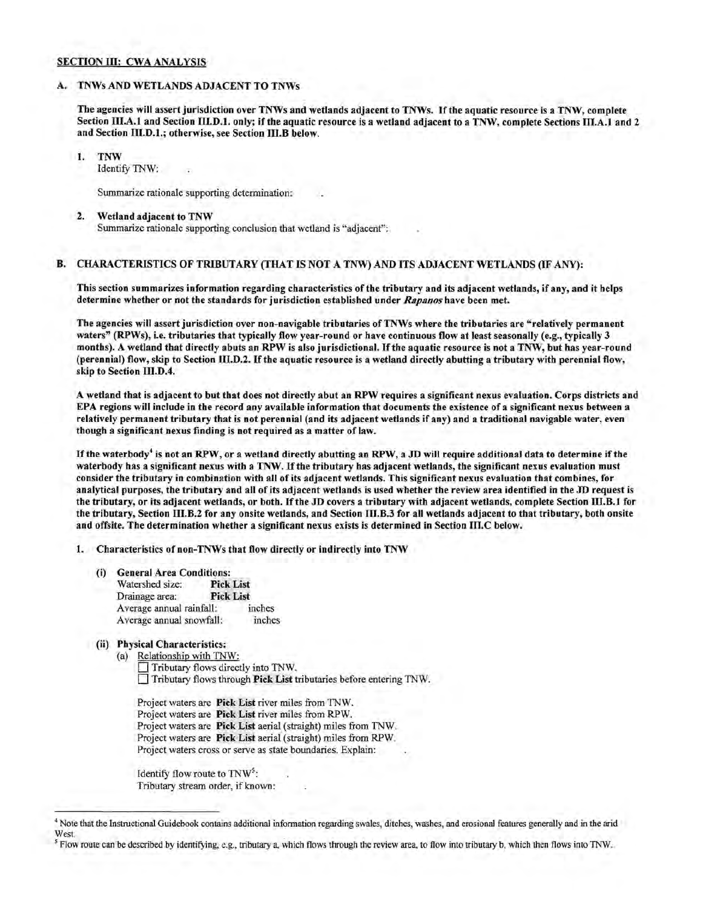# SECTION III: CWA ANALYSIS

### A. TNWs AND WETLANDS ADJACENT TO TNWs

The agencies will assert jurisdiction over TNWs and wetlands adjacent to TNWs. Ifthe aquatic resource is a TNW, complete Section III.A.l and Section III.D.l. only; if the aquatic resource is a wetland adjacent to a TNW, complete Sections III.A.l and 2 and Section III.D.l.; otherwise, see Section III.B below.

1. TNW

Identify TNW:

Summarize rationale supporting determination:

#### 2. Wetland adjacent to TNW

Summarize rationale supporting conclusion that wetland is "adjacent":

#### B. CHARACTERISTICS OF TRIBUTARY (THAT IS NOT A TNW) AND ITS ADJACENT WETLANDS (IF ANY):

This section summarizes information regarding characteristics of the tributary and its adjacent wetlands, if any, and it helps determine whether or not the standards for jurisdiction established under *Rapanos* have been met.

The agencies will assert jurisdiction over non-navigable tributaries of TNWs where the tributaries are "relatively permanent waters" (RPWs), i.e. tributaries that typically flow year-round or have continuous flow at least seasonally (e.g., typically 3 months). A wetland that directly abuts an RPW is also jurisdictional. Ifthe aquatic resource is not a TNW, but has year-round (perennial) flow, skip to Section III.D.2. Ifthe aquatic resource is a wetland directly abutting a tributary with perennial flow, skip to Section III.D.4.

A wetland that is adjacent to but that does not directly abut an RPW requires a significant nexus evaluation. Corps districts and EPA regions will include in the record any available information that documents the existence of a significant nexus between a relatively permanent tributary that is not perennial (and its adjacent wetlands if any) and a traditional navigable water, even though a significant nexus finding is not required as a matter of law.

If the waterbody<sup>4</sup> is not an RPW, or a wetland directly abutting an RPW, a JD will require additional data to determine if the waterbody has a significant nexus with a TNW. If the tributary has adjacent wetlands, the significant nexus evaluation must consider the tributary in combination with all of its adjacent wetlands. This significant nexus evaluation that combines, for analytical purposes, the tributary and all of its adjacent wetlands is used whether the review area identified in the JD request is the tributary, or its adjacent wetlands, or both. If the JD covers a tributary with adjacent wetlands, complete Section III.B.1 for the tributary, Section III.B.2 for any onsite wetlands, and Section III.B.3 for all wetlands adjacent to that tributary, both onsite and offsite. The determination whether a significant nexus exists is determined in Section III.C below.

1. Characteristics of non-TNWs that flow directly or indirectly into TNW

- (i) General Area Conditions:<br>Watershed size: Pick List Watershed size: Drainage area: Pick List Average annual rainfall: inches Average annual snowfall: inches
- (ii) Physical Characteristics:

(a) Relationship with TNW: 0 Tributary flows directly into TNW. 0 Tributary flows through Pick List tributaries before entering TNW.

Project waters are Pick List river miles from TNW. Project waters are Pick List river miles from RPW. Project waters are Pick List aerial (straight) miles from TNW. Project waters are Pick List aerial (straight) miles from RPW. Project waters cross or serve as state boundaries. Explain:

Identify flow route to TNW<sup>5</sup>: Tributary stream order, if known :

<sup>4</sup> Note that the Instructional Guidebook contains additional infonnation regarding swales, ditches, washes, and erosional features generally and in the arid West.

<sup>&</sup>lt;sup>5</sup> Flow route can be described by identifying, e.g., tributary a, which flows through the review area, to flow into tributary b, which then flows into TNW.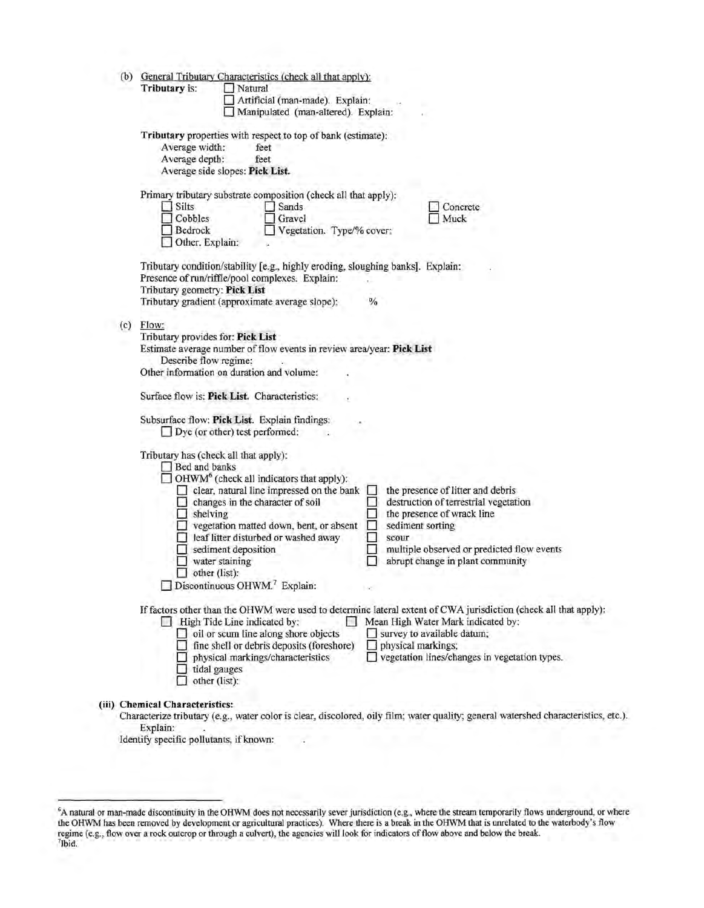| (b) | General Tributary Characteristics (check all that apply):<br>Tributary is:<br>Natural<br>Artificial (man-made). Explain:<br>Manipulated (man-altered). Explain:                                                                                                                                                                                                                                                                                                                                                                                                                                                |  |  |
|-----|----------------------------------------------------------------------------------------------------------------------------------------------------------------------------------------------------------------------------------------------------------------------------------------------------------------------------------------------------------------------------------------------------------------------------------------------------------------------------------------------------------------------------------------------------------------------------------------------------------------|--|--|
|     | Tributary properties with respect to top of bank (estimate):<br>Average width:<br>feet<br>Average depth:<br>feet<br>Average side slopes: Pick List.                                                                                                                                                                                                                                                                                                                                                                                                                                                            |  |  |
|     | Primary tributary substrate composition (check all that apply):<br>$\Box$ Silts<br>Sands<br>Concrete<br>$\Box$ Cobbles<br>Gravel<br>Muck<br>Bedrock<br>Vegetation. Type/% cover:<br>Other. Explain:                                                                                                                                                                                                                                                                                                                                                                                                            |  |  |
|     | Tributary condition/stability [e.g., highly eroding, sloughing banks]. Explain:<br>Presence of run/riffle/pool complexes. Explain:<br>Tributary geometry: Pick List<br>Tributary gradient (approximate average slope):<br>$\frac{1}{2}$                                                                                                                                                                                                                                                                                                                                                                        |  |  |
| (c) | Flow:<br>Tributary provides for: Pick List<br>Estimate average number of flow events in review area/year: Pick List<br>Describe flow regime:<br>Other information on duration and volume:                                                                                                                                                                                                                                                                                                                                                                                                                      |  |  |
|     | Surface flow is: Pick List. Characteristics:<br>Subsurface flow: Pick List. Explain findings:<br>$\Box$ Dye (or other) test performed:                                                                                                                                                                                                                                                                                                                                                                                                                                                                         |  |  |
|     | Tributary has (check all that apply):<br>Bed and banks<br>$\Box$ OHWM <sup>6</sup> (check all indicators that apply):<br>clear, natural line impressed on the bank<br>the presence of litter and debris<br>l.<br>destruction of terrestrial vegetation<br>changes in the character of soil<br>the presence of wrack line<br>$\Box$ shelving<br>$\Box$ vegetation matted down, bent, or absent<br>sediment sorting<br>leaf litter disturbed or washed away<br>scour<br>sediment deposition<br>multiple observed or predicted flow events<br>abrupt change in plant community<br>water staining<br>other (list): |  |  |
|     | $\Box$ Discontinuous OHWM. <sup>7</sup> Explain:                                                                                                                                                                                                                                                                                                                                                                                                                                                                                                                                                               |  |  |
|     | If factors other than the OHWM were used to determine lateral extent of CWA jurisdiction (check all that apply):<br>Mean High Water Mark indicated by:<br>$\Box$ High Tide Line indicated by:<br>oil or scum line along shore objects<br>survey to available datum;<br>fine shell or debris deposits (foreshore)<br>physical markings;<br>vegetation lines/changes in vegetation types.<br>physical markings/characteristics<br>tidal gauges<br>other (list):                                                                                                                                                  |  |  |

Explain:

Identify specific pollutants, if known:

A natural or man-made discontinuity in the OHWM does not necessarily sever jurisdiction (e.g., where the stream temporarily flows underground, or where the OHWM has been removed by development or agricultural practices). Where there is a break in the OHWM that is unrelated to the waterbody's flow<br>regime (e.g., flow over a rock outcrop or through a culvert), the agencies w 7 lbid.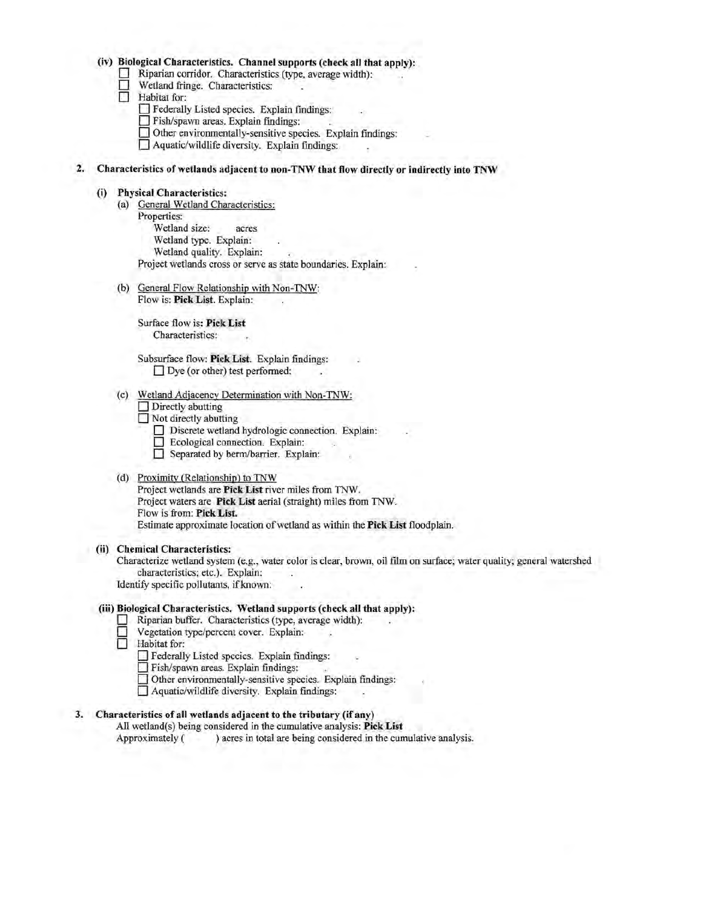#### **(iv) Biological Characteristics. Channel supports (check all that apply):**

- Riparian corridor. Characteristics (type, average width):
- **D Wetland fringe. Characteristics:**<br> **D Habitat for:** 
	- Habitat for:
		- $\Box$  Federally Listed species. Explain findings:
		- **D** Fish/spawn areas. Explain findings:
		- **D** Other environmentally-sensitive species. Explain findings:
		- $\Box$  Aquatic/wildlife diversity. Explain findings:

# **2. Characteristics of wetlands adjacent to non-TNW that flow directly or indirectly into TNW**

#### **(i) Physical Characteristics:**

- (a) General Wetland Characteristics: Properties: Wetland size: acres Wetland type. Explain: Wetland quality. Explain: Project wetlands cross or serve as state boundaries. Explain:
- (b) General Flow Relationship with Non-TNW: Flow is: **Pick List.** Explain:

Surface flow is: **Pick List** Characteristics:

Subsurface flow: Pick List. Explain findings: □ Dye (or other) test performed:

- (c) Wetland Adjacency Determination with Non-TNW:
	- Directly abutting
	- Not directly abutting
		- D Discrete wetland hydrologic connection. Explain: D Ecological connection. Explain:
		-
		- Separated by berm/barrier. Explain:

#### (d) Proximity (Relationship) to TNW

Project wetlands are **Pick List** river miles from TNW. Project waters are **Pick List** aerial (straight) miles from TNW. Flow is from: Pick List. Estimate approximate location of wetland as within the **Pick List** floodplain .

**(ii) Chemical Characteristics:** 

Characterize wetland system (e.g., water color is clear, brown, oil film on surface; water quality; general watershed characteristics; etc.). Explain:

Identify specific pollutants, if known:

#### **(iii) Biological Characteristics. Wetland supports (check all that apply):**

- Riparian buffer. Characteristics (type, average width):<br>  $\Box$  Vegetation type/percent cover. Explain:
- **D** Vegetation type/percent cover. Explain:
- **D Habitat** for:
	- D Federally Listed species. Explain findings:
	- D Fish/spawn areas . Explain findings:
	- $\Box$  Other environmentally-sensitive species. Explain findings:
	- □ Aquatic/wildlife diversity. Explain findings:

## **3. Characteristics of all wetlands adjacent to the tributary (if any)**

All wetland(s) being considered in the cumulative analysis : **Pick List**  Approximately ( ) acres in total are being considered in the cumulative analysis.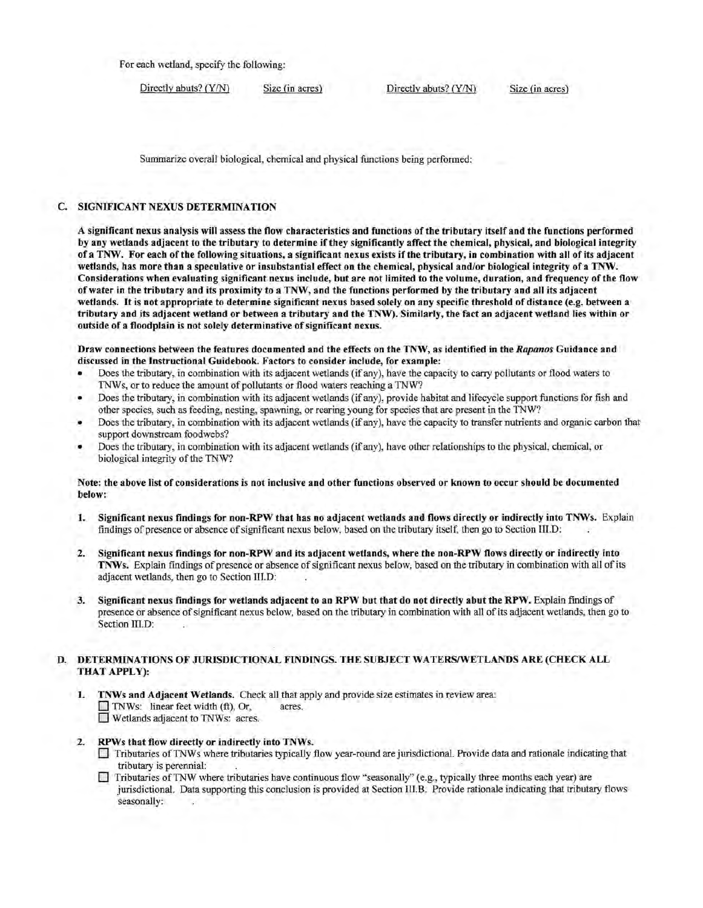For each wetland, specify the following:

Directly abuts? (Y/N) Size (in acres) Directly abuts? (Y/N) Size (in acres)

Summarize overall biological, chemical and physical functions being performed:

# C. SIGNIFICANT NEXUS DETERMINATION

A significant nexus analysis will assess the flow characteristics and functions of the tributary itself and the functions performed by any wetlands adjacent to the tributary to determine if they significantly affect the chemical, physical, and biological integrity of a TNW. For each of the following situations, a significant nexus exists if the tributary, in combination with all of its adjacent wetlands, has more than a speculative or insubstantial effect on the chemical, physical and/or biological integrity of a TNW. Considerations when evaluating significant nexus include, but are not limited to the volume, duration, and frequency ofthe flow of water in the tributary and its proximity to a TNW, and the functions performed by the tributary and all its adjacent wetlands. It is not appropriate to determine significant nexus based solely on any specific threshold of distance (e.g. between a tributary and its adjacent wetland or between a tributary and the TNW). Similarly, the fact an adjacent wetland lies within or outside of a floodplain is not solely determinative of significant nexus.

Draw connections between the features documented and the effects on the TNW, as identified in t he *Rapanos* Guidance and discussed in the Instructional Guidebook. Factors to consider include, for example:

- Does the tributary, in combination with its adjacent wetlands (if any), have the capacity to carry pollutants or flood waters to TNWs, or to reduce the amount of pollutants or flood waters reaching a TNW?
- Does the tributary, in combination with its adjacent wetlands (if any), provide habitat and lifecycle support functions for fish and other species, such as feeding, nesting, spawning, or rearing young for species that are present in the TNW?
- Does the tributary, in combination with its adjacent wetlands (if any), have the capacity to transfer nutrients and organic carbon that support downstream foodwebs?
- Does the tributary, in combination with its adjacent wetlands (if any), have other relationships to the physical, chemical, or biological integrity of the TNW?

#### Note: the above list of considerations is not inclusive and other functions observed or known to occur should be documented below:

- 1. Significant nexus findings for non-RPW that has no adjacent wetlands and flows directly or indirectly into TNWs. Explain findings of presence or absence of significant nexus below, based on the tributary itself, then go to Section III.D:
- 2. Significant nexus findings for non-RPW and its adjacent wetlands, where the non-RPW flows directly or indirectly into TNWs. Explain findings of presence or absence of significant nexus below, based on the tributary in combination with all of its adjacent wetlands, then go to Section III.D:
- 3. Significant nexus findings for wetlands adjacent to an RPW but that do not directly abut the RPW. Explain findings of presence or absence of significant nexus below, based on the tributary in combination with all of its adjacent wetlands, then go to Section III.D: *Section III.D:*  $\blacksquare$

### D. DETERMINATIONS OF JURISDICTIONAL FINDINGS. THE SUBJECT WATERS/WETLANDS ARE (CHECK ALL THAT APPLY):

- 1. TNWs and Adjacent Wetlands. Check all that apply and provide size estimates in review area:  $\Box$  TNWs: linear feet width (ft), Or, acres.  $\Box$  Wetlands adjacent to TNWs: acres.
- 2. RPWs that flow directly or indirectly into TNWs.
	- 0 Tributaries of TNW s where tributaries typically flow year-round are jurisdictional. Provide data and rationale indicating that tributary is perennial:
	- $\Box$  Tributaries of TNW where tributaries have continuous flow "seasonally" (e.g., typically three months each year) are jurisdictional. Data supporting this conclusion is provided at Section III.B. Provide rationale indicating that tributary flows seasonally: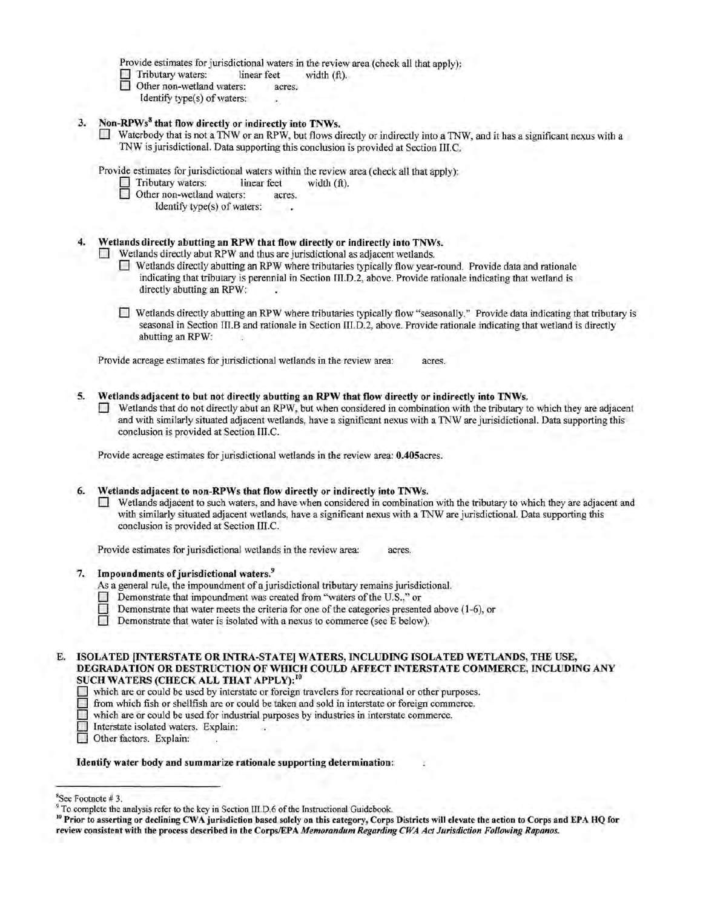Provide estimates for jurisdictional waters in the review area (check all that apply):

Tributary waters: linear feet width (ft).<br>Other non-wetland waters: acres.

Other non-wetland waters:

Identify type(s) of waters:

- 3. Non-RPWs<sup>8</sup> that flow directly or indirectly into TNWs.
	- Waterbody that is not a TNW or an RPW, but flows directly or indirectly into a TNW, and it has a significant nexus with a TNW is jurisdictional. Data supporting this conclusion is provided at Section III. C.

Provide estimates for jurisdictional waters within the review area (check all that apply):<br>  $\Box$  Tributary waters: linear feet width (ft).

- Tributary waters: linear feet width (ft).<br>Other non-wetland waters: acres.
- Other non-wetland waters:

Identify type(s) of waters:

## Wetlands directly abutting an RPW that flow directly or indirectly into TNWs.

Wetlands directly abut RPW and thus are jurisdictional as adjacent wetlands.

- 0 Wetlands directly abutting an RPW where tributaries typically flow year-round. Provide data and rationale indicating that tributary is perennial in Section III.D.2, above. Provide rationale indicating that wetland is directly abutting an RPW:
- 0 Wetlands directly abutting an RPW where tributaries typically flow "seasonally." Provide data indicating that tributary is seasonal in Section III.B and rationale in Section III.D.2, above. Provide rationale indicating that wetland is directly abutting an RPW:

Provide acreage estimates for jurisdictional wetlands in the review area: acres.

## 5. Wetlands adjacent to but not directly abutting an RPW that flow directly or indirectly into TNWs.

Wetlands that do not directly abut an RPW, but when considered in combination with the tributary to which they are adjacent and with similarly situated adjacent wetlands, have a significant nexus with a TNW are jurisidictionai. Data supporting this conclusion is provided at Section III.C.

Provide acreage estimates for jurisdictional wetlands in the review area: 0.405acres.

### 6. Wetlands adjacent to non-RPWs that flow directly or indirectly into TNWs.

 $\Box$  Wetlands adjacent to such waters, and have when considered in combination with the tributary to which they are adjacent and with similarly situated adjacent wetlands, have a significant nexus with a TNW are jurisdictional. Data supporting this conclusion is provided at Section III.C.

Provide estimates for jurisdictional wetlands in the review area: acres.

# 7. Impoundments of jurisdictional waters.<sup>9</sup>

- As a general rule, the impoundment of a jurisdictional tributary remains jurisdictional.
- Demonstrate that impoundment was created from "waters of the U.S.." or
- Demonstrate that water meets the criteria for one of the categories presented above (1-6), or
- $\Box$  Demonstrate that water is isolated with a nexus to commerce (see E below).

## E. ISOLATED [INTERSTATE OR INTRA-STATE] WATERS, INCLUDING ISOLATED WETLANDS, THE USE, DEGRADATION OR DESTRUCTION OF WHICH COULD AFFECT INTERSTATE COMMERCE, INCLUDING ANY SUCH WATERS (CHECK ALL THAT APPLY):<sup>10</sup>

- 0 which are or could be used by interstate or foreign travelers for recreational or other purposes.
- from which fish or shellfish are or could be taken and sold in interstate or foreign commerce.
- which are or could be used for industrial purposes by industries in interstate commerce.
- Interstate isolated waters. Explain:
- Other factors. Explain:

#### Identify water body and summarize rationale supporting determination:

<sup>&</sup>quot;See Footnote # 3.

<sup>&</sup>lt;sup>9</sup> To complete the analysis refer to the key in Section III.D.6 of the Instructional Guidebook.

<sup>&</sup>lt;sup>10</sup> Prior to asserting or declining CWA jurisdiction based solely on this category, Corps Districts will elevate the action to Corps and EPA HQ for review consistent with the process described in the Corps/EPA *Memorandum Regarding CWA Act Jurisdiction Following Rapanos.*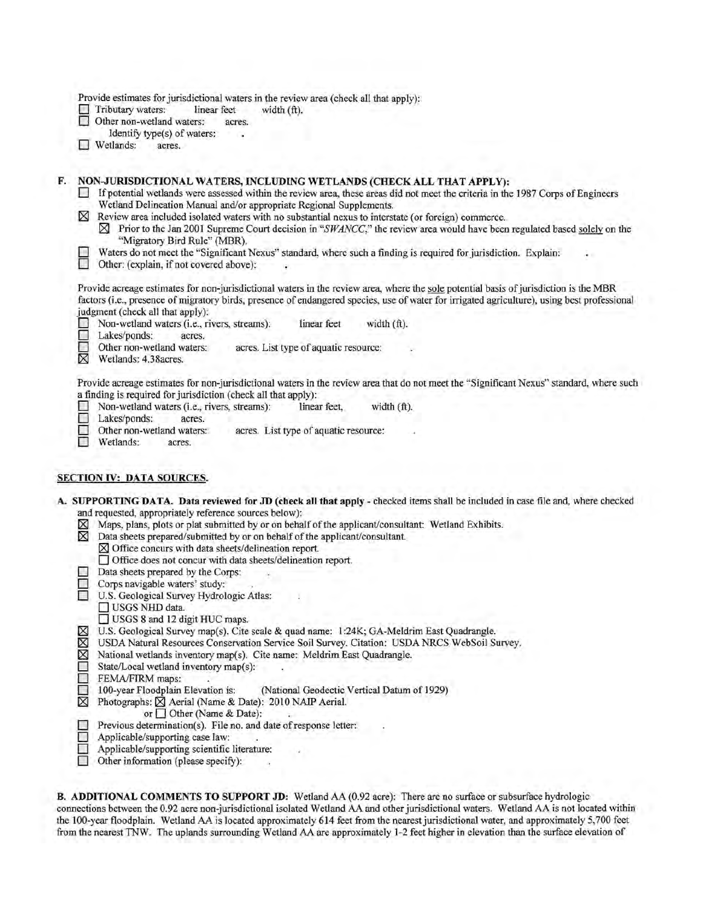|  |  | Provide estimates for jurisdictional waters in the review area (check all that apply): |
|--|--|----------------------------------------------------------------------------------------|
|--|--|----------------------------------------------------------------------------------------|

 $\Box$  Tributary waters: linear feet  $\Box$  Other non-wetland waters: acres. width (ft).

Other non-wetland waters:

Identify type(s) of waters:

**D** Wetlands: acres.

# F. NON-JURISDICTIONAL WATERS, INCLUDING WETLANDS (CHECK ALL THAT APPLY):

- $\Box$  If potential wetlands were assessed within the review area, these areas did not meet the criteria in the 1987 Corps of Engineers Wetland Delineation Manual and/or appropriate Regional Supplements.
- $\boxtimes$  Review area included isolated waters with no substantial nexus to interstate (or foreign) commerce.
	- $\boxtimes$  Prior to the Jan 2001 Supreme Court decision in "*SWANCC*," the review area would have been regulated based solely on the "Migratory Bird Rule" (MBR).
- Waters do not meet the "Significant Nexus" standard, where such a finding is required for jurisdiction. Explain:

Other: (explain, if not covered above):

Provide acreage estimates for non-jurisdictional waters in the review area, where the sole potential basis of jurisdiction is the MBR factors (i.e., presence of migratory birds, presence of endangered species, use of water for irrigated agriculture), using best professional judgment (check all that apply):

**D** Non-wetland waters (i.e., rivers, streams): linear feet width (ft).<br>
Lakes/ponds: acres.

Lakes/ponds: acres.<br>
Other non-wetland waters: Other non-wetland waters: acres. List type of aquatic resource:  $\boxtimes$  Wetlands: 4.38 acres.

Wetlands: 4.38acres.

Provide acreage estimates for non-jurisdictional waters in the review area that do not meet the "Significant Nexus" standard, where such a finding is required for jurisdiction (check all that apply):<br>  $\Box$  Non-wetland waters (i.e., rivers, streams): linear feet.

 $\Box$  Non-wetland waters (i.e., rivers, streams): linear feet, width (ft).<br> $\Box$  Lakes/ponds: acres.

Lakes/ponds: acres.<br>
Other non-wetland waters:

Other non-wetland waters: acres. List type of aquatic resource:<br>
Wetlands: acres

Wetlands: acres.

# SECTION IV: DATA SOURCES.

A. SUPPORTING DATA. Data reviewed for JD (check all that apply- checked items shall be included in case file and, where checked and requested, appropriately reference sources below):

- $[8]$  Maps, plans, plots or plat submitted by or on behalf of the applicant/consultant: Wetland Exhibits.<br> $[8]$  Data sheets prepared/submitted by or on behalf of the applicant/consultant. Data sheets prepared/submitted by or on behalf of the applicant/consultant.
	- [8J Office concurs with data sheets/delineation report.
	- 0 Office does not concur with data sheets/delineation report.
	- Data sheets prepared by the Corps:
- 
- $\Box$  Corps navigable waters' study:<br> $\Box$  U.S. Geological Survey Hydrol U.S. Geological Survey Hydrologic Atlas:
	- USGS NHD data.
	- $\Box$  USGS 8 and 12 digit HUC maps.
- 
- [8J U.S. Geological Survey map(s). Cite scale & quad name: I :24K; GA-Meldrim East Quadrangle. [8J USDA Natural Resources Conservation Service Soil Survey. Citation: USDA NRCS WebSoil Survey.
- $[8]$  National wetlands inventory map(s). Cite name: Meldrim East Quadrangle.
- State/Local wetland inventory map(s):<br>
FEMA/FIRM maps:
- 
- FEMA/FIRM maps:<br>100-year Floodplain Elevation is: 100-year Floodplain Elevation is: (National Geodectic Vertical Datum of 1929)<br>  $\boxtimes$  Photographs:  $\boxtimes$  Aerial (Name & Date): 2010 NAIP Aerial.
	- Photographs:  $\boxtimes$  Aerial (Name & Date): 2010 NAIP Aerial.
	- or  $\Box$  Other (Name & Date):
- $\Box$  Previous determination(s). File no. and date of response letter:
- $\Box$  Applicable/supporting case law:
- Applicable/supporting scientific literature:<br>
Other information (please specify):
	- Other information (please specify):

B. ADDITIONAL COMMENTS TO SUPPORT JD: Wetland AA (0.92 acre): There are no surface or subsurface hydrologic connections between the 0.92 acre non-jurisdictional isolated Wetland AA and other jurisdictional waters. Wetland AA is not located within the 100-year floodplain. Wetland AA is located approximately 614 feet from the nearest jurisdictional water, and approximately 5,700 feet from the nearest TNW. The uplands surrounding Wetland AA are approximately 1-2 feet higher in elevation than the surface elevation of